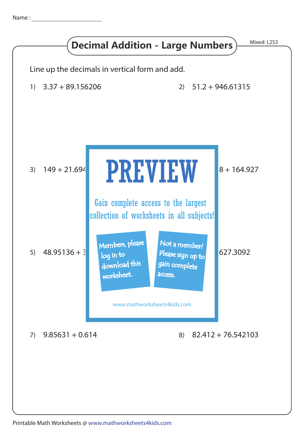